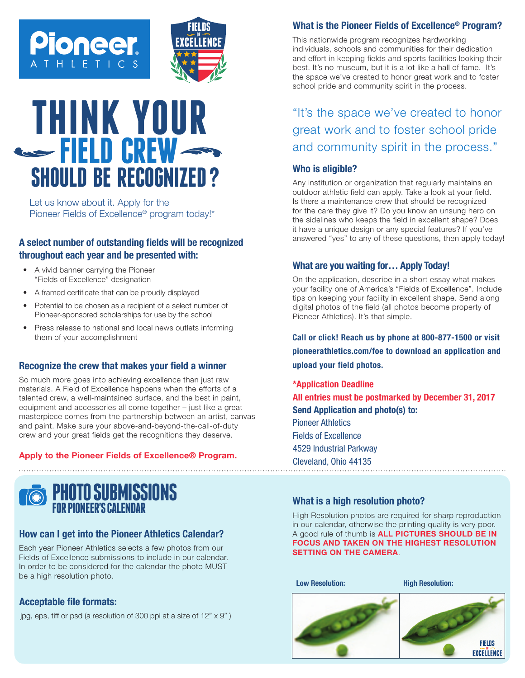



# **THINK YOUR FIELD CREW SHOULD BE RECOGNIZED ?**

Let us know about it. Apply for the Pioneer Fields of Excellence® program today!\*

### **A select number of outstanding fields will be recognized throughout each year and be presented with:**

- A vivid banner carrying the Pioneer "Fields of Excellence" designation
- A framed certificate that can be proudly displayed
- Potential to be chosen as a recipient of a select number of Pioneer-sponsored scholarships for use by the school
- Press release to national and local news outlets informing them of your accomplishment

#### **Recognize the crew that makes your field a winner**

So much more goes into achieving excellence than just raw materials. A Field of Excellence happens when the efforts of a talented crew, a well-maintained surface, and the best in paint, equipment and accessories all come together – just like a great masterpiece comes from the partnership between an artist, canvas and paint. Make sure your above-and-beyond-the-call-of-duty crew and your great fields get the recognitions they deserve.

#### Apply to the Pioneer Fields of Excellence® Program.



#### **How can I get into the Pioneer Athletics Calendar?**

Each year Pioneer Athletics selects a few photos from our Fields of Excellence submissions to include in our calendar. In order to be considered for the calendar the photo MUST be a high resolution photo.

#### **Acceptable file formats:**

jpg, eps, tiff or psd (a resolution of 300 ppi at a size of 12" x 9" )

#### **What is the Pioneer Fields of Excellence® Program?**

This nationwide program recognizes hardworking individuals, schools and communities for their dedication and effort in keeping fields and sports facilities looking their best. It's no museum, but it is a lot like a hall of fame. It's the space we've created to honor great work and to foster school pride and community spirit in the process.

"It's the space we've created to honor great work and to foster school pride and community spirit in the process."

#### **Who is eligible?**

Any institution or organization that regularly maintains an outdoor athletic field can apply. Take a look at your field. Is there a maintenance crew that should be recognized for the care they give it? Do you know an unsung hero on the sidelines who keeps the field in excellent shape? Does it have a unique design or any special features? If you've answered "yes" to any of these questions, then apply today!

#### **What are you waiting for… Apply Today!**

On the application, describe in a short essay what makes your facility one of America's "Fields of Excellence". Include tips on keeping your facility in excellent shape. Send along digital photos of the field (all photos become property of Pioneer Athletics). It's that simple.

Call or click! Reach us by phone at 800-877-1500 or visit pioneerathletics.com/foe to download an application and upload your field photos.

All entries must be postmarked by December 31, 2017<br>Send Annligation and photo(s) to:  $H$  resolution photos are required for sharp reproduction in our publication in our publication in our publications  $\mathcal{L}$ Fields of Excellence 4529 Industrial Parkway Photo submission otherwise the printing quality is very poor. Pictures should be taken at the ......................<sub>.</sub> \*Application Deadline Send Application and photo(s) to: Pioneer Athletics Cleveland, Ohio 44135

#### Profiles, interviews, **Breakfast with the villat** 5" x 7" 1500 x 2100 reso jpg, eps, tiff or psd (at a What is a high resolution photo? **Bruakfast with the set of the set of the set of the set of the set of the set of the set of the set of the set**  $\sim$   $\sim$   $\sim$   $\sim$   $\sim$   $\sim$   $\sim$   $\sim$ pixels **What is a high resolution photo?**

High Resolution photos are required for sharp reproduction Inger resolution priotes are required for sharp reproduction<br>in our calendar, otherwise the printing quality is very poor. A good rule of thumb is **ALL PICTURES SHOULD BE IN** pixels are the control of 300 dpixels of 300 dpixels are also at the control of the second the second of the s E HIGHEST RESUL  $\alpha$  or eps) and equal to FORTIS AND TAKEN ON THE HIGHEST DESOLUTION FOCUS AND TAKEN ON THE HIGHEST RESOLUTION<br>OFTING ON THE GANEDA SETTING ON THE CAMERA.

**Low Resolution:** 

**Low Resolution: High Resolution:**